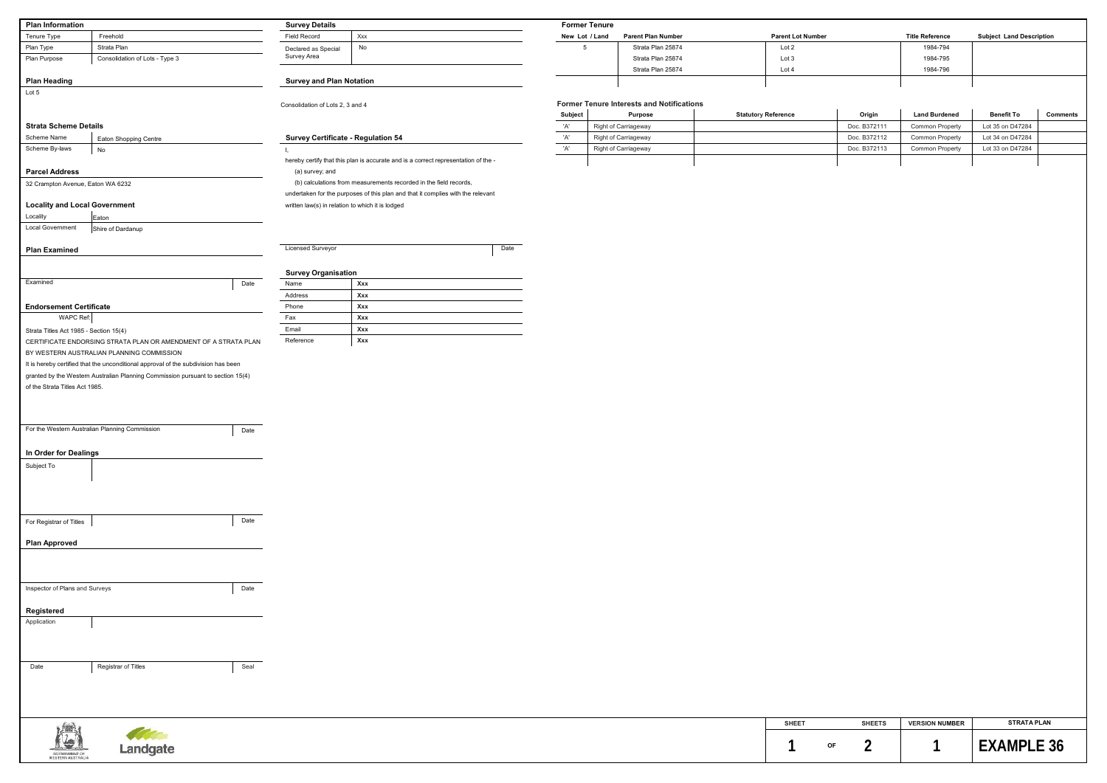| <b>Former Tenure Interests and Notifications</b> |                             |                            |              |                        |                   |                 |  |
|--------------------------------------------------|-----------------------------|----------------------------|--------------|------------------------|-------------------|-----------------|--|
| <b>Subject</b>                                   | <b>Purpose</b>              | <b>Statutory Reference</b> | Origin       | <b>Land Burdened</b>   | <b>Benefit To</b> | <b>Comments</b> |  |
| 'A'                                              | <b>Right of Carriageway</b> |                            | Doc. B372111 | <b>Common Property</b> | Lot 35 on D47284  |                 |  |
| 'A'                                              | <b>Right of Carriageway</b> |                            | Doc. B372112 | <b>Common Property</b> | Lot 34 on D47284  |                 |  |
| 'A'                                              | <b>Right of Carriageway</b> |                            | Doc. B372113 | <b>Common Property</b> | Lot 33 on D47284  |                 |  |
|                                                  |                             |                            |              |                        |                   |                 |  |

| <b>Plan Information</b>                |                                                                                    | <b>Survey Details</b>            |                                                                                    |         | <b>Former Tenure</b> |                                                  |                            |               |                        |                                 |          |
|----------------------------------------|------------------------------------------------------------------------------------|----------------------------------|------------------------------------------------------------------------------------|---------|----------------------|--------------------------------------------------|----------------------------|---------------|------------------------|---------------------------------|----------|
| Tenure Type                            | Freehold                                                                           | <b>Field Record</b>              | Xxx                                                                                |         | New Lot / Land       | <b>Parent Plan Number</b>                        | <b>Parent Lot Number</b>   |               | <b>Title Reference</b> | <b>Subject Land Description</b> |          |
| Plan Type                              | Strata Plan                                                                        | Declared as Special              | No                                                                                 |         | 5                    | Strata Plan 25874                                | Lot 2                      |               | 1984-794               |                                 |          |
| Plan Purpose                           | Consolidation of Lots - Type 3                                                     | Survey Area                      |                                                                                    |         |                      | Strata Plan 25874                                | Lot 3                      |               | 1984-795               |                                 |          |
|                                        |                                                                                    |                                  |                                                                                    |         |                      | Strata Plan 25874                                | Lot 4                      |               | 1984-796               |                                 |          |
| <b>Plan Heading</b>                    |                                                                                    | <b>Survey and Plan Notation</b>  |                                                                                    |         |                      |                                                  |                            |               |                        |                                 |          |
| Lot 5                                  |                                                                                    |                                  |                                                                                    |         |                      |                                                  |                            |               |                        |                                 |          |
|                                        |                                                                                    | Consolidation of Lots 2, 3 and 4 |                                                                                    |         |                      | <b>Former Tenure Interests and Notifications</b> |                            |               |                        |                                 |          |
|                                        |                                                                                    |                                  |                                                                                    | Subject |                      | <b>Purpose</b>                                   | <b>Statutory Reference</b> | Origin        | <b>Land Burdened</b>   | <b>Benefit To</b>               | <b>C</b> |
| <b>Strata Scheme Details</b>           |                                                                                    |                                  |                                                                                    | 'A'     |                      | Right of Carriageway                             |                            | Doc. B372111  | <b>Common Property</b> | Lot 35 on D47284                |          |
| Scheme Name                            | Eaton Shopping Centre                                                              |                                  | <b>Survey Certificate - Regulation 54</b>                                          | 'A'     |                      | Right of Carriageway                             |                            | Doc. B372112  | Common Property        | Lot 34 on D47284                |          |
| Scheme By-laws                         | No                                                                                 |                                  |                                                                                    | 'A'     |                      | Right of Carriageway                             |                            | Doc. B372113  | <b>Common Property</b> | Lot 33 on D47284                |          |
|                                        |                                                                                    |                                  | hereby certify that this plan is accurate and is a correct representation of the - |         |                      |                                                  |                            |               |                        |                                 |          |
| <b>Parcel Address</b>                  |                                                                                    | (a) survey; and                  | (b) calculations from measurements recorded in the field records,                  |         |                      |                                                  |                            |               |                        |                                 |          |
| 32 Crampton Avenue, Eaton WA 6232      |                                                                                    |                                  | undertaken for the purposes of this plan and that it complies with the relevant    |         |                      |                                                  |                            |               |                        |                                 |          |
| <b>Locality and Local Government</b>   |                                                                                    |                                  | written law(s) in relation to which it is lodged                                   |         |                      |                                                  |                            |               |                        |                                 |          |
| Locality                               |                                                                                    |                                  |                                                                                    |         |                      |                                                  |                            |               |                        |                                 |          |
| <b>Local Government</b>                | Eaton<br>Shire of Dardanup                                                         |                                  |                                                                                    |         |                      |                                                  |                            |               |                        |                                 |          |
|                                        |                                                                                    |                                  |                                                                                    |         |                      |                                                  |                            |               |                        |                                 |          |
| <b>Plan Examined</b>                   |                                                                                    | <b>Licensed Surveyor</b>         | Date                                                                               |         |                      |                                                  |                            |               |                        |                                 |          |
|                                        |                                                                                    |                                  |                                                                                    |         |                      |                                                  |                            |               |                        |                                 |          |
|                                        |                                                                                    | <b>Survey Organisation</b>       |                                                                                    |         |                      |                                                  |                            |               |                        |                                 |          |
| Examined                               | Date                                                                               | Name                             | Xxx                                                                                |         |                      |                                                  |                            |               |                        |                                 |          |
|                                        |                                                                                    | Address                          | Xxx                                                                                |         |                      |                                                  |                            |               |                        |                                 |          |
| <b>Endorsement Certificate</b>         |                                                                                    | Phone                            | Xxx                                                                                |         |                      |                                                  |                            |               |                        |                                 |          |
| WAPC Ref:                              |                                                                                    | Fax                              | Xxx                                                                                |         |                      |                                                  |                            |               |                        |                                 |          |
| Strata Titles Act 1985 - Section 15(4) |                                                                                    | Email                            | Xxx                                                                                |         |                      |                                                  |                            |               |                        |                                 |          |
|                                        | CERTIFICATE ENDORSING STRATA PLAN OR AMENDMENT OF A STRATA PLAN                    | Reference                        | Xxx                                                                                |         |                      |                                                  |                            |               |                        |                                 |          |
|                                        | BY WESTERN AUSTRALIAN PLANNING COMMISSION                                          |                                  |                                                                                    |         |                      |                                                  |                            |               |                        |                                 |          |
|                                        | It is hereby certified that the unconditional approval of the subdivision has been |                                  |                                                                                    |         |                      |                                                  |                            |               |                        |                                 |          |
|                                        | granted by the Western Australian Planning Commission pursuant to section 15(4)    |                                  |                                                                                    |         |                      |                                                  |                            |               |                        |                                 |          |
| of the Strata Titles Act 1985.         |                                                                                    |                                  |                                                                                    |         |                      |                                                  |                            |               |                        |                                 |          |
|                                        |                                                                                    |                                  |                                                                                    |         |                      |                                                  |                            |               |                        |                                 |          |
|                                        |                                                                                    |                                  |                                                                                    |         |                      |                                                  |                            |               |                        |                                 |          |
|                                        |                                                                                    |                                  |                                                                                    |         |                      |                                                  |                            |               |                        |                                 |          |
|                                        | For the Western Australian Planning Commission<br>Date                             |                                  |                                                                                    |         |                      |                                                  |                            |               |                        |                                 |          |
|                                        |                                                                                    |                                  |                                                                                    |         |                      |                                                  |                            |               |                        |                                 |          |
| In Order for Dealings                  |                                                                                    |                                  |                                                                                    |         |                      |                                                  |                            |               |                        |                                 |          |
| Subject To                             |                                                                                    |                                  |                                                                                    |         |                      |                                                  |                            |               |                        |                                 |          |
|                                        |                                                                                    |                                  |                                                                                    |         |                      |                                                  |                            |               |                        |                                 |          |
|                                        |                                                                                    |                                  |                                                                                    |         |                      |                                                  |                            |               |                        |                                 |          |
|                                        |                                                                                    |                                  |                                                                                    |         |                      |                                                  |                            |               |                        |                                 |          |
|                                        |                                                                                    |                                  |                                                                                    |         |                      |                                                  |                            |               |                        |                                 |          |
| For Registrar of Titles                | Date                                                                               |                                  |                                                                                    |         |                      |                                                  |                            |               |                        |                                 |          |
|                                        |                                                                                    |                                  |                                                                                    |         |                      |                                                  |                            |               |                        |                                 |          |
| <b>Plan Approved</b>                   |                                                                                    |                                  |                                                                                    |         |                      |                                                  |                            |               |                        |                                 |          |
|                                        |                                                                                    |                                  |                                                                                    |         |                      |                                                  |                            |               |                        |                                 |          |
|                                        |                                                                                    |                                  |                                                                                    |         |                      |                                                  |                            |               |                        |                                 |          |
|                                        |                                                                                    |                                  |                                                                                    |         |                      |                                                  |                            |               |                        |                                 |          |
| Inspector of Plans and Surveys         | Date                                                                               |                                  |                                                                                    |         |                      |                                                  |                            |               |                        |                                 |          |
|                                        |                                                                                    |                                  |                                                                                    |         |                      |                                                  |                            |               |                        |                                 |          |
| Registered                             |                                                                                    |                                  |                                                                                    |         |                      |                                                  |                            |               |                        |                                 |          |
| Application                            |                                                                                    |                                  |                                                                                    |         |                      |                                                  |                            |               |                        |                                 |          |
|                                        |                                                                                    |                                  |                                                                                    |         |                      |                                                  |                            |               |                        |                                 |          |
|                                        |                                                                                    |                                  |                                                                                    |         |                      |                                                  |                            |               |                        |                                 |          |
|                                        |                                                                                    |                                  |                                                                                    |         |                      |                                                  |                            |               |                        |                                 |          |
| Date                                   | Seal<br>Registrar of Titles                                                        |                                  |                                                                                    |         |                      |                                                  |                            |               |                        |                                 |          |
|                                        |                                                                                    |                                  |                                                                                    |         |                      |                                                  |                            |               |                        |                                 |          |
|                                        |                                                                                    |                                  |                                                                                    |         |                      |                                                  |                            |               |                        |                                 |          |
|                                        |                                                                                    |                                  |                                                                                    |         |                      |                                                  |                            |               |                        |                                 |          |
|                                        |                                                                                    |                                  |                                                                                    |         |                      |                                                  |                            |               |                        |                                 |          |
| $\frac{1}{2}$                          |                                                                                    |                                  |                                                                                    |         |                      |                                                  | <b>SHEET</b>               | <b>SHEETS</b> | <b>VERSION NUMBER</b>  | <b>STRATA PLAN</b>              |          |

**CONTRACTOR** 

Landgate

191

GOVERNMENT DE<br>WESTERN AUSTRALIA

| <b>SHEET</b> |    | <b>SHEETS</b> | <b>VERSION NUMBER</b> | <b>STRATA PLAN</b> |
|--------------|----|---------------|-----------------------|--------------------|
|              | ΟF |               |                       |                    |

| <b>Title Reference</b> | <b>Subject Land Description</b> |
|------------------------|---------------------------------|
| 1984-794               |                                 |
| 1984-795               |                                 |
| 1984-796               |                                 |
|                        |                                 |